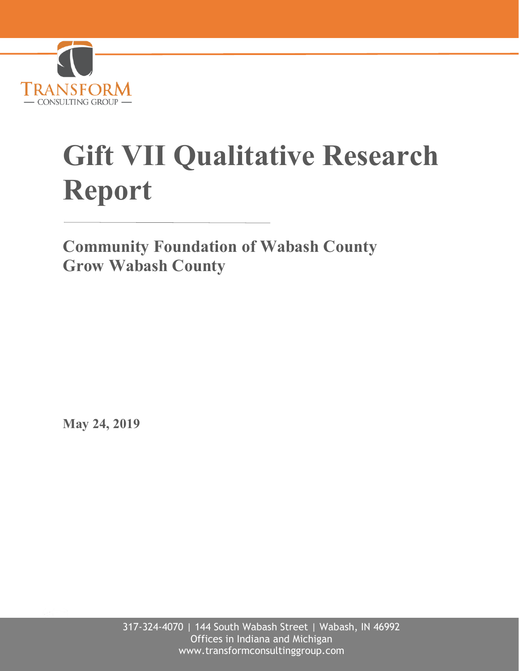

# **Gift VII Qualitative Research Report**

**Community Foundation of Wabash County Grow Wabash County**

**May 24, 2019**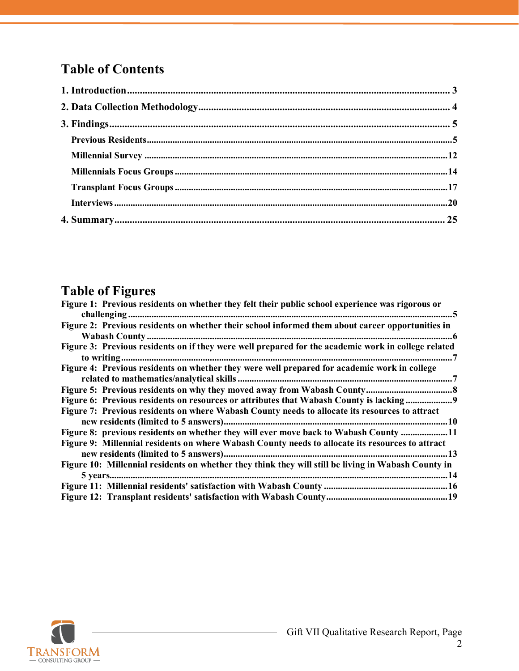# **Table of Contents**

# **Table of Figures**

 $\sim$ 

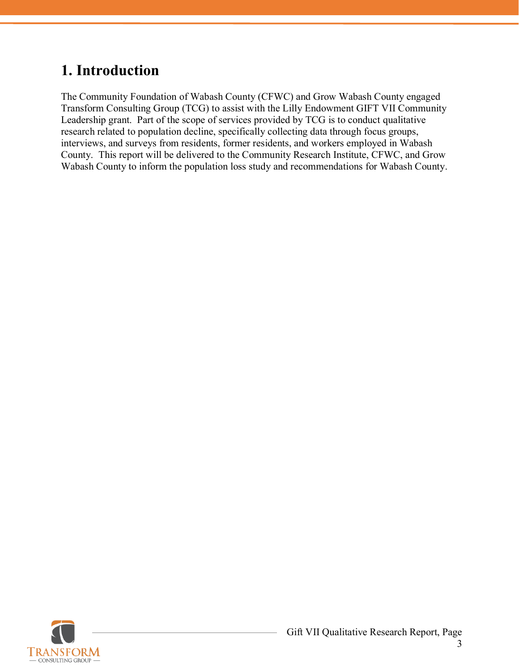# <span id="page-2-0"></span>**1. Introduction**

The Community Foundation of Wabash County (CFWC) and Grow Wabash County engaged Transform Consulting Group (TCG) to assist with the Lilly Endowment GIFT VII Community Leadership grant. Part of the scope of services provided by TCG is to conduct qualitative research related to population decline, specifically collecting data through focus groups, interviews, and surveys from residents, former residents, and workers employed in Wabash County. This report will be delivered to the Community Research Institute, CFWC, and Grow Wabash County to inform the population loss study and recommendations for Wabash County.

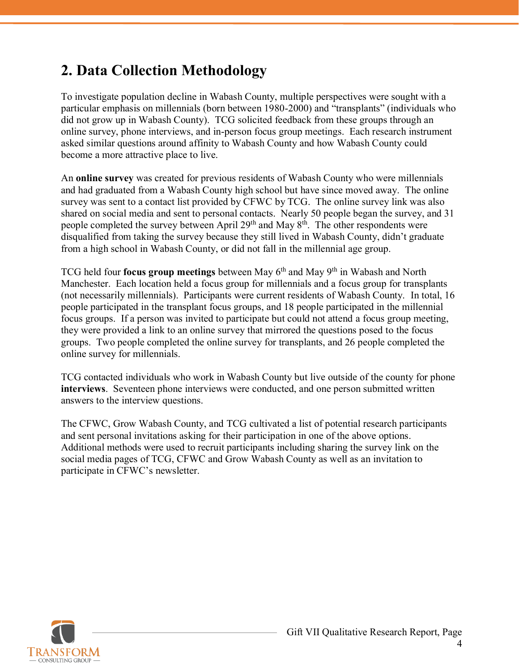# <span id="page-3-0"></span>**2. Data Collection Methodology**

To investigate population decline in Wabash County, multiple perspectives were sought with a particular emphasis on millennials (born between 1980-2000) and "transplants" (individuals who did not grow up in Wabash County). TCG solicited feedback from these groups through an online survey, phone interviews, and in-person focus group meetings. Each research instrument asked similar questions around affinity to Wabash County and how Wabash County could become a more attractive place to live.

An **online survey** was created for previous residents of Wabash County who were millennials and had graduated from a Wabash County high school but have since moved away. The online survey was sent to a contact list provided by CFWC by TCG. The online survey link was also shared on social media and sent to personal contacts. Nearly 50 people began the survey, and 31 people completed the survey between April 29<sup>th</sup> and May 8<sup>th</sup>. The other respondents were disqualified from taking the survey because they still lived in Wabash County, didn't graduate from a high school in Wabash County, or did not fall in the millennial age group.

TCG held four **focus group meetings** between May 6th and May 9th in Wabash and North Manchester. Each location held a focus group for millennials and a focus group for transplants (not necessarily millennials). Participants were current residents of Wabash County. In total, 16 people participated in the transplant focus groups, and 18 people participated in the millennial focus groups. If a person was invited to participate but could not attend a focus group meeting, they were provided a link to an online survey that mirrored the questions posed to the focus groups. Two people completed the online survey for transplants, and 26 people completed the online survey for millennials.

TCG contacted individuals who work in Wabash County but live outside of the county for phone **interviews**. Seventeen phone interviews were conducted, and one person submitted written answers to the interview questions.

The CFWC, Grow Wabash County, and TCG cultivated a list of potential research participants and sent personal invitations asking for their participation in one of the above options. Additional methods were used to recruit participants including sharing the survey link on the social media pages of TCG, CFWC and Grow Wabash County as well as an invitation to participate in CFWC's newsletter.

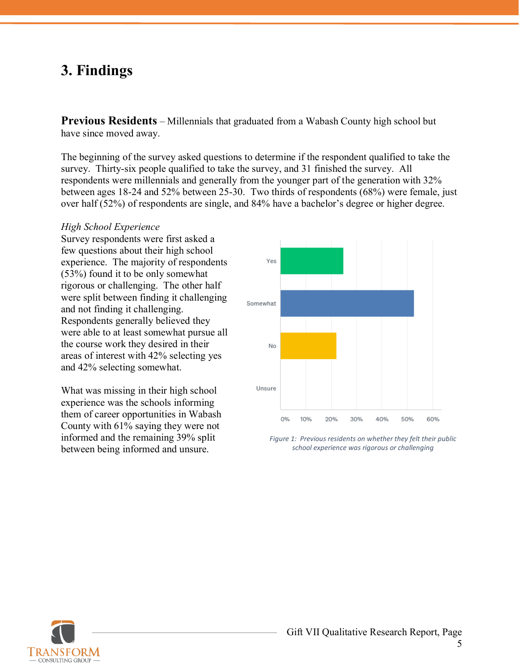# <span id="page-4-0"></span>**3. Findings**

<span id="page-4-1"></span>**Previous Residents** – Millennials that graduated from a Wabash County high school but have since moved away.

The beginning of the survey asked questions to determine if the respondent qualified to take the survey. Thirty-six people qualified to take the survey, and 31 finished the survey. All respondents were millennials and generally from the younger part of the generation with 32% between ages 18-24 and 52% between 25-30. Two thirds of respondents (68%) were female, just over half (52%) of respondents are single, and 84% have a bachelor's degree or higher degree.

#### *High School Experience*

Survey respondents were first asked a few questions about their high school experience. The majority of respondents (53%) found it to be only somewhat rigorous or challenging. The other half were split between finding it challenging and not finding it challenging. Respondents generally believed they were able to at least somewhat pursue all the course work they desired in their areas of interest with 42% selecting yes and 42% selecting somewhat.

What was missing in their high school experience was the schools informing them of career opportunities in Wabash County with 61% saying they were not informed and the remaining 39% split between being informed and unsure.



*Figure 1: Previous residents on whether they felt their public school experience was rigorous or challenging*

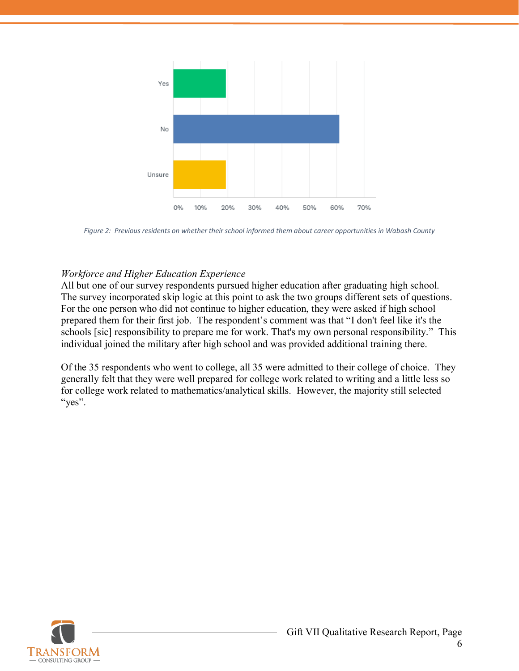

<span id="page-5-0"></span>*Figure 2: Previous residents on whether their school informed them about career opportunities in Wabash County*

#### *Workforce and Higher Education Experience*

All but one of our survey respondents pursued higher education after graduating high school. The survey incorporated skip logic at this point to ask the two groups different sets of questions. For the one person who did not continue to higher education, they were asked if high school prepared them for their first job. The respondent's comment was that "I don't feel like it's the schools [sic] responsibility to prepare me for work. That's my own personal responsibility." This individual joined the military after high school and was provided additional training there.

Of the 35 respondents who went to college, all 35 were admitted to their college of choice. They generally felt that they were well prepared for college work related to writing and a little less so for college work related to mathematics/analytical skills. However, the majority still selected "yes".

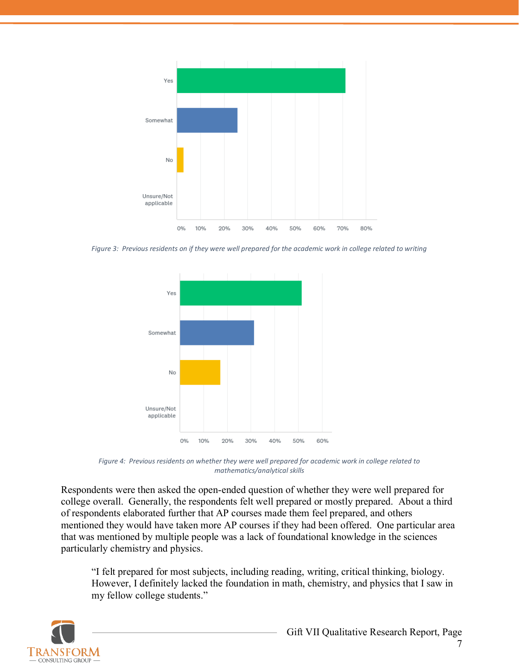

<span id="page-6-0"></span>*Figure 3: Previous residents on if they were well prepared for the academic work in college related to writing*



*Figure 4: Previous residents on whether they were well prepared for academic work in college related to mathematics/analytical skills*

<span id="page-6-1"></span>Respondents were then asked the open-ended question of whether they were well prepared for college overall. Generally, the respondents felt well prepared or mostly prepared. About a third of respondents elaborated further that AP courses made them feel prepared, and others mentioned they would have taken more AP courses if they had been offered. One particular area that was mentioned by multiple people was a lack of foundational knowledge in the sciences particularly chemistry and physics.

"I felt prepared for most subjects, including reading, writing, critical thinking, biology. However, I definitely lacked the foundation in math, chemistry, and physics that I saw in my fellow college students."

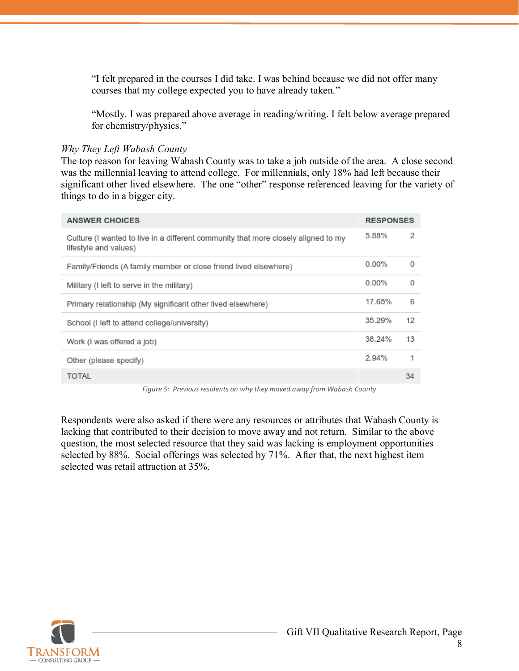"I felt prepared in the courses I did take. I was behind because we did not offer many courses that my college expected you to have already taken."

"Mostly. I was prepared above average in reading/writing. I felt below average prepared for chemistry/physics."

#### *Why They Left Wabash County*

The top reason for leaving Wabash County was to take a job outside of the area. A close second was the millennial leaving to attend college. For millennials, only 18% had left because their significant other lived elsewhere. The one "other" response referenced leaving for the variety of things to do in a bigger city.

| <b>ANSWER CHOICES</b>                                                                                                                      | <b>RESPONSES</b> |    |
|--------------------------------------------------------------------------------------------------------------------------------------------|------------------|----|
| Culture (I wanted to live in a different community that more closely aligned to my<br>lifestyle and values)                                | 5.88%            | 2  |
| Family/Friends (A family member or close friend lived elsewhere)                                                                           | $0.00\%$         | 0  |
| Military (I left to serve in the military)                                                                                                 | $0.00\%$         | 0  |
| Primary relationship (My significant other lived elsewhere)                                                                                | 17.65%           | 6  |
| School (I left to attend college/university)                                                                                               | 35.29%           | 12 |
| Work (I was offered a job)                                                                                                                 | 38.24%           | 13 |
| Other (please specify)                                                                                                                     | 2.94%            | 1  |
| <b>TOTAL</b>                                                                                                                               |                  | 34 |
| $\mathbf{r}$ , and $\mathbf{r}$ , and $\mathbf{r}$ , and $\mathbf{r}$<br>$\sim$ $\sim$ $\sim$<br>$\sim$ $\sim$ $\sim$ $\sim$ $\sim$ $\sim$ |                  |    |

*Figure 5: Previous residents on why they moved away from Wabash County*

<span id="page-7-0"></span>Respondents were also asked if there were any resources or attributes that Wabash County is lacking that contributed to their decision to move away and not return. Similar to the above question, the most selected resource that they said was lacking is employment opportunities selected by 88%. Social offerings was selected by 71%. After that, the next highest item selected was retail attraction at 35%.

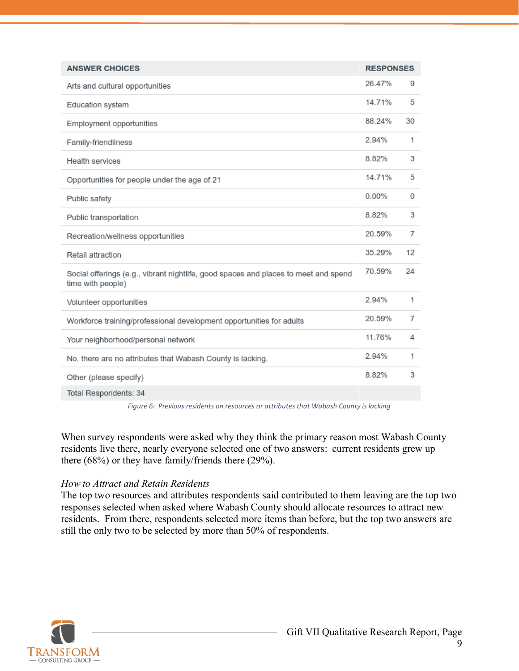| <b>ANSWER CHOICES</b>                                                                                    | <b>RESPONSES</b> |    |
|----------------------------------------------------------------------------------------------------------|------------------|----|
| Arts and cultural opportunities                                                                          | 26.47%           | 9  |
| Education system                                                                                         | 14.71%           | 5  |
| Employment opportunities                                                                                 | 88.24%           | 30 |
| Family-friendliness                                                                                      | 2.94%            | 1  |
| Health services                                                                                          | 8.82%            | 3  |
| Opportunities for people under the age of 21                                                             | 14.71%           | 5  |
| Public safety                                                                                            | 0.00%            | 0  |
| Public transportation                                                                                    | 8.82%            | 3  |
| Recreation/wellness opportunities                                                                        | 20.59%           | 7  |
| Retail attraction                                                                                        | 35.29%           | 12 |
| Social offerings (e.g., vibrant nightlife, good spaces and places to meet and spend<br>time with people) | 70.59%           | 24 |
| Volunteer opportunities                                                                                  | 2.94%            | 1  |
| Workforce training/professional development opportunities for adults                                     | 20.59%           | 7  |
| Your neighborhood/personal network                                                                       | 11.76%           | 4  |
| No, there are no attributes that Wabash County is lacking.                                               | 2.94%            | 1  |
| Other (please specify)                                                                                   | 8.82%            | 3  |
| Total Respondents: 34                                                                                    |                  |    |

*Figure 6: Previous residents on resources or attributes that Wabash County is lacking*

<span id="page-8-0"></span>When survey respondents were asked why they think the primary reason most Wabash County residents live there, nearly everyone selected one of two answers: current residents grew up there (68%) or they have family/friends there (29%).

#### *How to Attract and Retain Residents*

The top two resources and attributes respondents said contributed to them leaving are the top two responses selected when asked where Wabash County should allocate resources to attract new residents. From there, respondents selected more items than before, but the top two answers are still the only two to be selected by more than 50% of respondents.

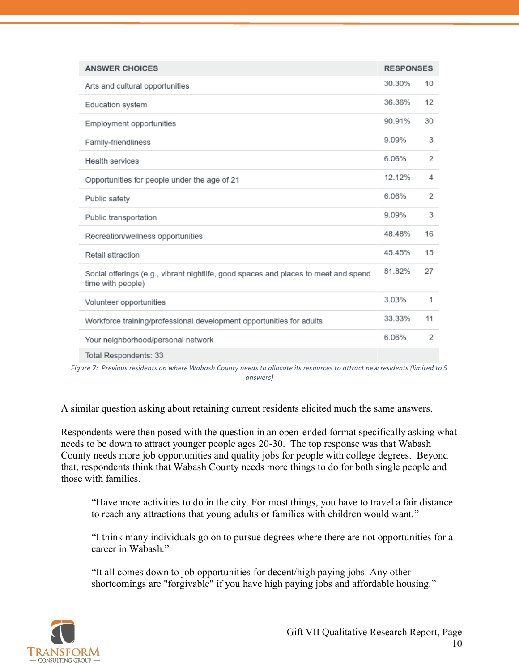| <b>ANSWER CHOICES</b>                                                                                    | <b>RESPONSES</b> |    |
|----------------------------------------------------------------------------------------------------------|------------------|----|
| Arts and cultural opportunities                                                                          | 30.30%           | 10 |
| Education system                                                                                         | 36.36%           | 12 |
| Employment opportunities                                                                                 | 90.91%           | 30 |
| Family-friendliness                                                                                      | 9.09%            | 3  |
| Health services                                                                                          | 6.06%            | 2  |
| Opportunities for people under the age of 21                                                             | 12.12%           | 4  |
| Public safety                                                                                            | 6.06%            | 2  |
| Public transportation                                                                                    | 9.09%            | 3  |
| Recreation/wellness opportunities                                                                        | 48.48%           | 16 |
| Retail attraction                                                                                        | 45.45%           | 15 |
| Social offerings (e.g., vibrant nightlife, good spaces and places to meet and spend<br>time with people) | 81.82%           | 27 |
| Volunteer opportunities                                                                                  | 3.03%            | 1  |
| Workforce training/professional development opportunities for adults                                     | 33.33%           | 11 |
| Your neighborhood/personal network                                                                       | 6.06%            | 2  |
| Total Respondents: 33                                                                                    |                  |    |

<span id="page-9-0"></span>*Figure 7: Previous residents on where Wabash County needs to allocate its resources to attract new residents (limited to 5 answers)*

A similar question asking about retaining current residents elicited much the same answers.

Respondents were then posed with the question in an open-ended format specifically asking what needs to be down to attract younger people ages 20-30. The top response was that Wabash County needs more job opportunities and quality jobs for people with college degrees. Beyond that, respondents think that Wabash County needs more things to do for both single people and those with families.

"Have more activities to do in the city. For most things, you have to travel a fair distance to reach any attractions that young adults or families with children would want."

"I think many individuals go on to pursue degrees where there are not opportunities for a career in Wabash"

"It all comes down to job opportunities for decent/high paying jobs. Any other shortcomings are "forgivable" if you have high paying jobs and affordable housing."

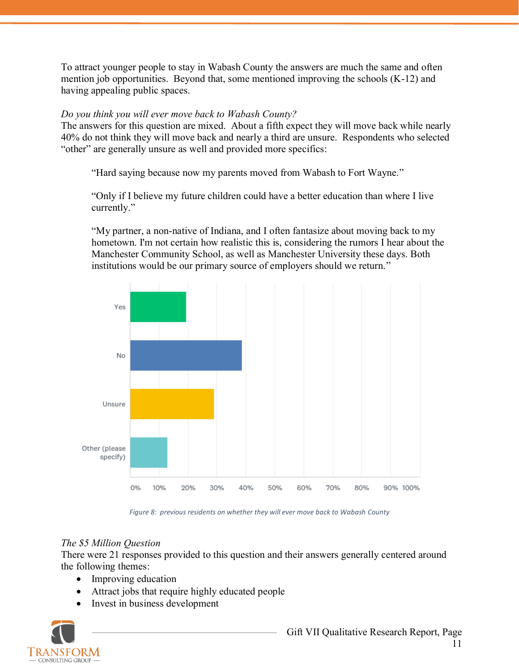To attract younger people to stay in Wabash County the answers are much the same and often mention job opportunities. Beyond that, some mentioned improving the schools (K-12) and having appealing public spaces.

### *Do you think you will ever move back to Wabash County?*

The answers for this question are mixed. About a fifth expect they will move back while nearly 40% do not think they will move back and nearly a third are unsure. Respondents who selected "other" are generally unsure as well and provided more specifics:

"Hard saying because now my parents moved from Wabash to Fort Wayne."

"Only if I believe my future children could have a better education than where I live currently."

"My partner, a non-native of Indiana, and I often fantasize about moving back to my hometown. I'm not certain how realistic this is, considering the rumors I hear about the Manchester Community School, as well as Manchester University these days. Both institutions would be our primary source of employers should we return."



*Figure 8: previous residents on whether they will ever move back to Wabash County*

# <span id="page-10-0"></span>*The \$5 Million Question*

There were 21 responses provided to this question and their answers generally centered around the following themes:

- Improving education
- Attract jobs that require highly educated people
- Invest in business development

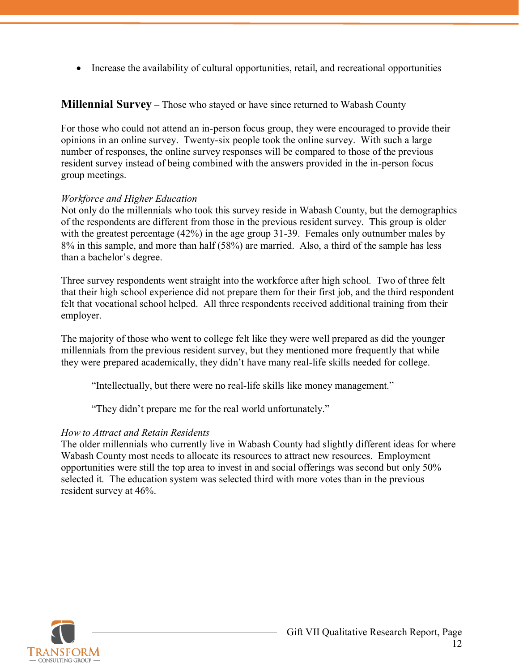• Increase the availability of cultural opportunities, retail, and recreational opportunities

# <span id="page-11-0"></span>**Millennial Survey** – Those who stayed or have since returned to Wabash County

For those who could not attend an in-person focus group, they were encouraged to provide their opinions in an online survey. Twenty-six people took the online survey. With such a large number of responses, the online survey responses will be compared to those of the previous resident survey instead of being combined with the answers provided in the in-person focus group meetings.

### *Workforce and Higher Education*

Not only do the millennials who took this survey reside in Wabash County, but the demographics of the respondents are different from those in the previous resident survey. This group is older with the greatest percentage (42%) in the age group 31-39. Females only outnumber males by 8% in this sample, and more than half (58%) are married. Also, a third of the sample has less than a bachelor's degree.

Three survey respondents went straight into the workforce after high school. Two of three felt that their high school experience did not prepare them for their first job, and the third respondent felt that vocational school helped. All three respondents received additional training from their employer.

The majority of those who went to college felt like they were well prepared as did the younger millennials from the previous resident survey, but they mentioned more frequently that while they were prepared academically, they didn't have many real-life skills needed for college.

"Intellectually, but there were no real-life skills like money management."

"They didn't prepare me for the real world unfortunately."

#### *How to Attract and Retain Residents*

The older millennials who currently live in Wabash County had slightly different ideas for where Wabash County most needs to allocate its resources to attract new resources. Employment opportunities were still the top area to invest in and social offerings was second but only 50% selected it. The education system was selected third with more votes than in the previous resident survey at 46%.

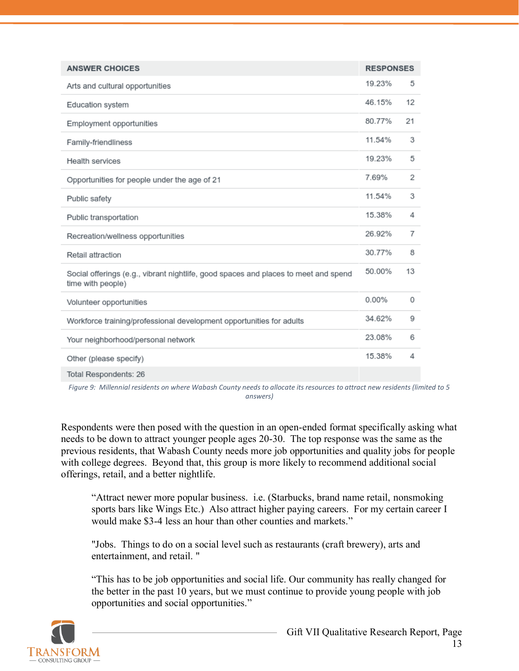| <b>ANSWER CHOICES</b>                                                                                    | <b>RESPONSES</b> |    |
|----------------------------------------------------------------------------------------------------------|------------------|----|
| Arts and cultural opportunities                                                                          | 19.23%           | 5  |
| Education system                                                                                         | 46.15%           | 12 |
| Employment opportunities                                                                                 | 80.77%           | 21 |
| Family-friendliness                                                                                      | 11.54%           | 3  |
| Health services                                                                                          | 19.23%           | 5  |
| Opportunities for people under the age of 21                                                             | 7.69%            | 2  |
| Public safety                                                                                            | 11.54%           | 3  |
| Public transportation                                                                                    | 15.38%           | 4  |
| Recreation/wellness opportunities                                                                        | 26.92%           | 7  |
| Retail attraction                                                                                        | 30.77%           | 8  |
| Social offerings (e.g., vibrant nightlife, good spaces and places to meet and spend<br>time with people) | 50.00%           | 13 |
| Volunteer opportunities                                                                                  | 0.00%            | 0  |
| Workforce training/professional development opportunities for adults                                     | 34.62%           | 9  |
| Your neighborhood/personal network                                                                       | 23.08%           | 6  |
| Other (please specify)                                                                                   | 15.38%           | 4  |
| Total Respondents: 26                                                                                    |                  |    |

<span id="page-12-0"></span>*Figure 9: Millennial residents on where Wabash County needs to allocate its resources to attract new residents (limited to 5 answers)*

Respondents were then posed with the question in an open-ended format specifically asking what needs to be down to attract younger people ages 20-30. The top response was the same as the previous residents, that Wabash County needs more job opportunities and quality jobs for people with college degrees. Beyond that, this group is more likely to recommend additional social offerings, retail, and a better nightlife.

"Attract newer more popular business. i.e. (Starbucks, brand name retail, nonsmoking sports bars like Wings Etc.) Also attract higher paying careers. For my certain career I would make \$3-4 less an hour than other counties and markets."

"Jobs. Things to do on a social level such as restaurants (craft brewery), arts and entertainment, and retail. "

"This has to be job opportunities and social life. Our community has really changed for the better in the past 10 years, but we must continue to provide young people with job opportunities and social opportunities."

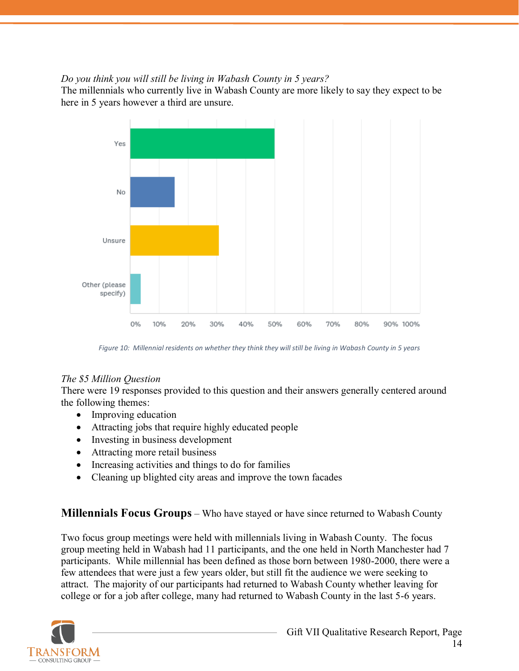### *Do you think you will still be living in Wabash County in 5 years?*

The millennials who currently live in Wabash County are more likely to say they expect to be here in 5 years however a third are unsure.



*Figure 10: Millennial residents on whether they think they will still be living in Wabash County in 5 years*

#### <span id="page-13-1"></span>*The \$5 Million Question*

There were 19 responses provided to this question and their answers generally centered around the following themes:

- Improving education
- Attracting jobs that require highly educated people
- Investing in business development
- Attracting more retail business
- Increasing activities and things to do for families
- Cleaning up blighted city areas and improve the town facades

# <span id="page-13-0"></span>**Millennials Focus Groups** – Who have stayed or have since returned to Wabash County

Two focus group meetings were held with millennials living in Wabash County. The focus group meeting held in Wabash had 11 participants, and the one held in North Manchester had 7 participants. While millennial has been defined as those born between 1980-2000, there were a few attendees that were just a few years older, but still fit the audience we were seeking to attract. The majority of our participants had returned to Wabash County whether leaving for college or for a job after college, many had returned to Wabash County in the last 5-6 years.

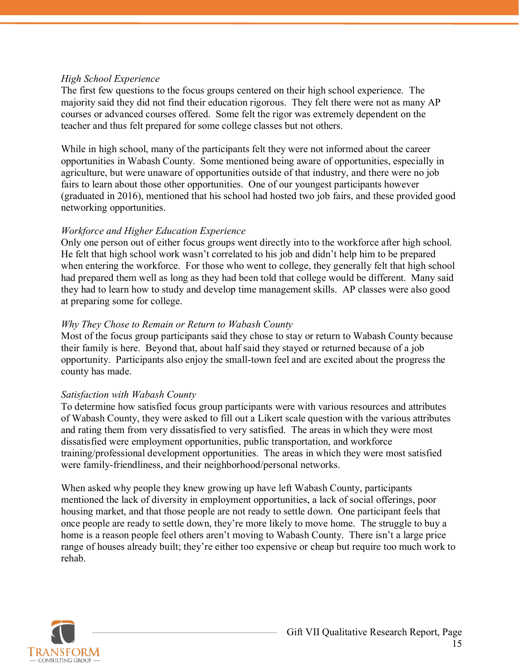#### *High School Experience*

The first few questions to the focus groups centered on their high school experience. The majority said they did not find their education rigorous. They felt there were not as many AP courses or advanced courses offered. Some felt the rigor was extremely dependent on the teacher and thus felt prepared for some college classes but not others.

While in high school, many of the participants felt they were not informed about the career opportunities in Wabash County. Some mentioned being aware of opportunities, especially in agriculture, but were unaware of opportunities outside of that industry, and there were no job fairs to learn about those other opportunities. One of our youngest participants however (graduated in 2016), mentioned that his school had hosted two job fairs, and these provided good networking opportunities.

#### *Workforce and Higher Education Experience*

Only one person out of either focus groups went directly into to the workforce after high school. He felt that high school work wasn't correlated to his job and didn't help him to be prepared when entering the workforce. For those who went to college, they generally felt that high school had prepared them well as long as they had been told that college would be different. Many said they had to learn how to study and develop time management skills. AP classes were also good at preparing some for college.

#### *Why They Chose to Remain or Return to Wabash County*

Most of the focus group participants said they chose to stay or return to Wabash County because their family is here. Beyond that, about half said they stayed or returned because of a job opportunity. Participants also enjoy the small-town feel and are excited about the progress the county has made.

#### *Satisfaction with Wabash County*

To determine how satisfied focus group participants were with various resources and attributes of Wabash County, they were asked to fill out a Likert scale question with the various attributes and rating them from very dissatisfied to very satisfied. The areas in which they were most dissatisfied were employment opportunities, public transportation, and workforce training/professional development opportunities. The areas in which they were most satisfied were family-friendliness, and their neighborhood/personal networks.

When asked why people they knew growing up have left Wabash County, participants mentioned the lack of diversity in employment opportunities, a lack of social offerings, poor housing market, and that those people are not ready to settle down. One participant feels that once people are ready to settle down, they're more likely to move home. The struggle to buy a home is a reason people feel others aren't moving to Wabash County. There isn't a large price range of houses already built; they're either too expensive or cheap but require too much work to rehab.

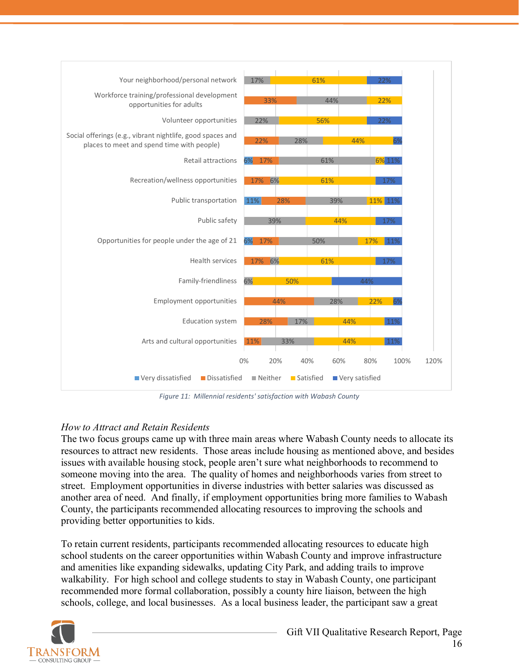

*Figure 11: Millennial residents' satisfaction with Wabash County*

# <span id="page-15-0"></span>*How to Attract and Retain Residents*

The two focus groups came up with three main areas where Wabash County needs to allocate its resources to attract new residents. Those areas include housing as mentioned above, and besides issues with available housing stock, people aren't sure what neighborhoods to recommend to someone moving into the area. The quality of homes and neighborhoods varies from street to street. Employment opportunities in diverse industries with better salaries was discussed as another area of need. And finally, if employment opportunities bring more families to Wabash County, the participants recommended allocating resources to improving the schools and providing better opportunities to kids.

To retain current residents, participants recommended allocating resources to educate high school students on the career opportunities within Wabash County and improve infrastructure and amenities like expanding sidewalks, updating City Park, and adding trails to improve walkability. For high school and college students to stay in Wabash County, one participant recommended more formal collaboration, possibly a county hire liaison, between the high schools, college, and local businesses. As a local business leader, the participant saw a great

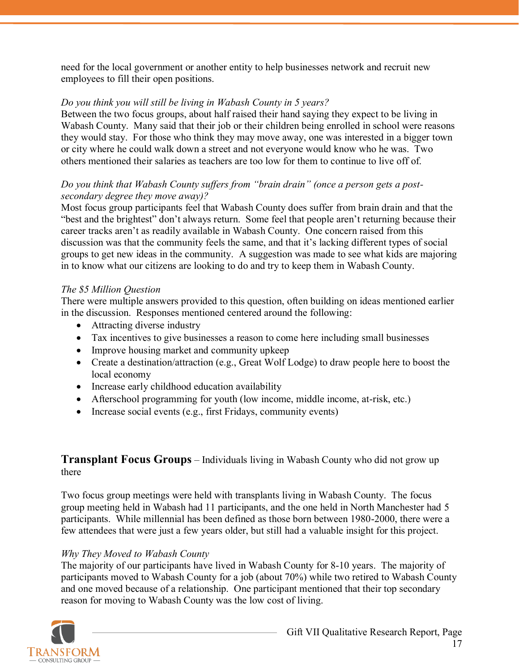need for the local government or another entity to help businesses network and recruit new employees to fill their open positions.

#### *Do you think you will still be living in Wabash County in 5 years?*

Between the two focus groups, about half raised their hand saying they expect to be living in Wabash County. Many said that their job or their children being enrolled in school were reasons they would stay. For those who think they may move away, one was interested in a bigger town or city where he could walk down a street and not everyone would know who he was. Two others mentioned their salaries as teachers are too low for them to continue to live off of.

#### *Do you think that Wabash County suffers from "brain drain" (once a person gets a postsecondary degree they move away)?*

Most focus group participants feel that Wabash County does suffer from brain drain and that the "best and the brightest" don't always return. Some feel that people aren't returning because their career tracks aren't as readily available in Wabash County. One concern raised from this discussion was that the community feels the same, and that it's lacking different types of social groups to get new ideas in the community. A suggestion was made to see what kids are majoring in to know what our citizens are looking to do and try to keep them in Wabash County.

#### *The \$5 Million Question*

There were multiple answers provided to this question, often building on ideas mentioned earlier in the discussion. Responses mentioned centered around the following:

- Attracting diverse industry
- Tax incentives to give businesses a reason to come here including small businesses
- Improve housing market and community upkeep
- Create a destination/attraction (e.g., Great Wolf Lodge) to draw people here to boost the local economy
- Increase early childhood education availability
- Afterschool programming for youth (low income, middle income, at-risk, etc.)
- Increase social events (e.g., first Fridays, community events)

### <span id="page-16-0"></span>**Transplant Focus Groups** – Individuals living in Wabash County who did not grow up there

Two focus group meetings were held with transplants living in Wabash County. The focus group meeting held in Wabash had 11 participants, and the one held in North Manchester had 5 participants. While millennial has been defined as those born between 1980-2000, there were a few attendees that were just a few years older, but still had a valuable insight for this project.

#### *Why They Moved to Wabash County*

The majority of our participants have lived in Wabash County for 8-10 years. The majority of participants moved to Wabash County for a job (about 70%) while two retired to Wabash County and one moved because of a relationship. One participant mentioned that their top secondary reason for moving to Wabash County was the low cost of living.

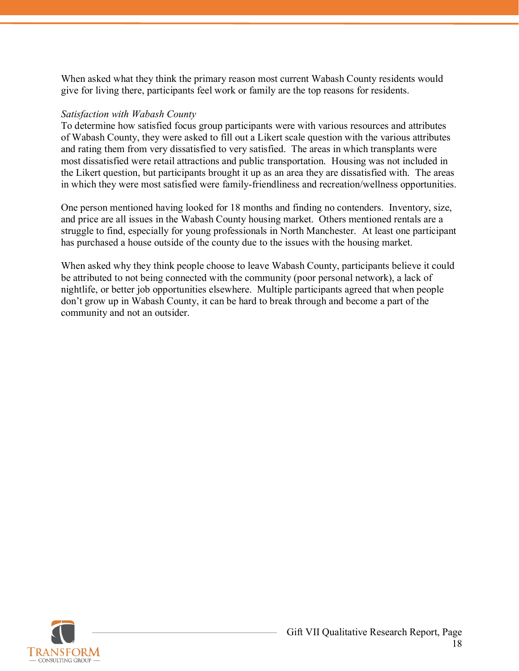When asked what they think the primary reason most current Wabash County residents would give for living there, participants feel work or family are the top reasons for residents.

#### *Satisfaction with Wabash County*

To determine how satisfied focus group participants were with various resources and attributes of Wabash County, they were asked to fill out a Likert scale question with the various attributes and rating them from very dissatisfied to very satisfied. The areas in which transplants were most dissatisfied were retail attractions and public transportation. Housing was not included in the Likert question, but participants brought it up as an area they are dissatisfied with. The areas in which they were most satisfied were family-friendliness and recreation/wellness opportunities.

One person mentioned having looked for 18 months and finding no contenders. Inventory, size, and price are all issues in the Wabash County housing market. Others mentioned rentals are a struggle to find, especially for young professionals in North Manchester. At least one participant has purchased a house outside of the county due to the issues with the housing market.

When asked why they think people choose to leave Wabash County, participants believe it could be attributed to not being connected with the community (poor personal network), a lack of nightlife, or better job opportunities elsewhere. Multiple participants agreed that when people don't grow up in Wabash County, it can be hard to break through and become a part of the community and not an outsider.

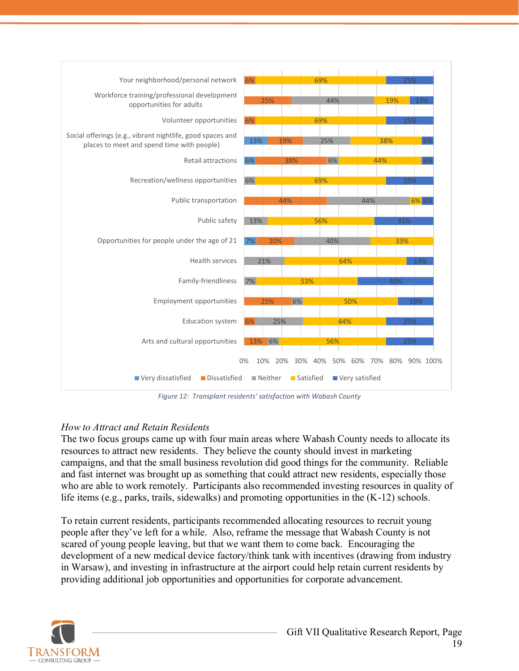

*Figure 12: Transplant residents' satisfaction with Wabash County*

# <span id="page-18-0"></span>*How to Attract and Retain Residents*

The two focus groups came up with four main areas where Wabash County needs to allocate its resources to attract new residents. They believe the county should invest in marketing campaigns, and that the small business revolution did good things for the community. Reliable and fast internet was brought up as something that could attract new residents, especially those who are able to work remotely. Participants also recommended investing resources in quality of life items (e.g., parks, trails, sidewalks) and promoting opportunities in the (K-12) schools.

To retain current residents, participants recommended allocating resources to recruit young people after they've left for a while. Also, reframe the message that Wabash County is not scared of young people leaving, but that we want them to come back. Encouraging the development of a new medical device factory/think tank with incentives (drawing from industry in Warsaw), and investing in infrastructure at the airport could help retain current residents by providing additional job opportunities and opportunities for corporate advancement.

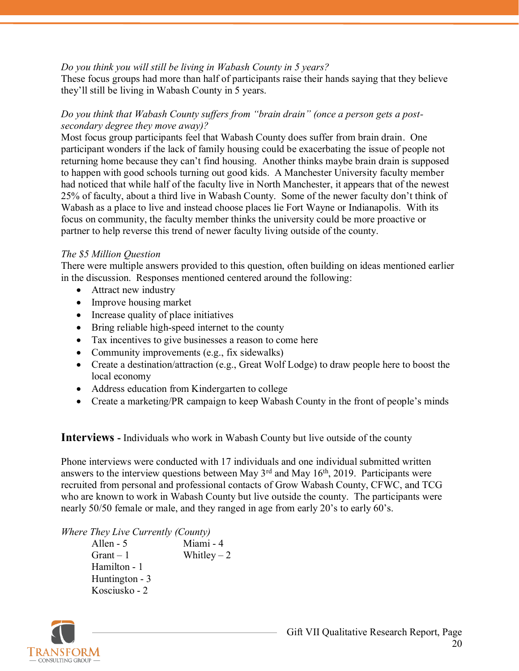#### *Do you think you will still be living in Wabash County in 5 years?*

These focus groups had more than half of participants raise their hands saying that they believe they'll still be living in Wabash County in 5 years.

#### *Do you think that Wabash County suffers from "brain drain" (once a person gets a postsecondary degree they move away)?*

Most focus group participants feel that Wabash County does suffer from brain drain. One participant wonders if the lack of family housing could be exacerbating the issue of people not returning home because they can't find housing. Another thinks maybe brain drain is supposed to happen with good schools turning out good kids. A Manchester University faculty member had noticed that while half of the faculty live in North Manchester, it appears that of the newest 25% of faculty, about a third live in Wabash County. Some of the newer faculty don't think of Wabash as a place to live and instead choose places lie Fort Wayne or Indianapolis. With its focus on community, the faculty member thinks the university could be more proactive or partner to help reverse this trend of newer faculty living outside of the county.

### *The \$5 Million Question*

There were multiple answers provided to this question, often building on ideas mentioned earlier in the discussion. Responses mentioned centered around the following:

- Attract new industry
- Improve housing market
- Increase quality of place initiatives
- Bring reliable high-speed internet to the county
- Tax incentives to give businesses a reason to come here
- Community improvements (e.g., fix sidewalks)
- Create a destination/attraction (e.g., Great Wolf Lodge) to draw people here to boost the local economy
- Address education from Kindergarten to college
- Create a marketing/PR campaign to keep Wabash County in the front of people's minds

<span id="page-19-0"></span>**Interviews -** Individuals who work in Wabash County but live outside of the county

Phone interviews were conducted with 17 individuals and one individual submitted written answers to the interview questions between May  $3<sup>rd</sup>$  and May 16<sup>th</sup>, 2019. Participants were recruited from personal and professional contacts of Grow Wabash County, CFWC, and TCG who are known to work in Wabash County but live outside the county. The participants were nearly 50/50 female or male, and they ranged in age from early 20's to early 60's.

*Where They Live Currently (County)*

| Allen - 5      | Miami - 4    |
|----------------|--------------|
| $Grant - 1$    | Whitley $-2$ |
| Hamilton - 1   |              |
| Huntington - 3 |              |
| Kosciusko - 2  |              |

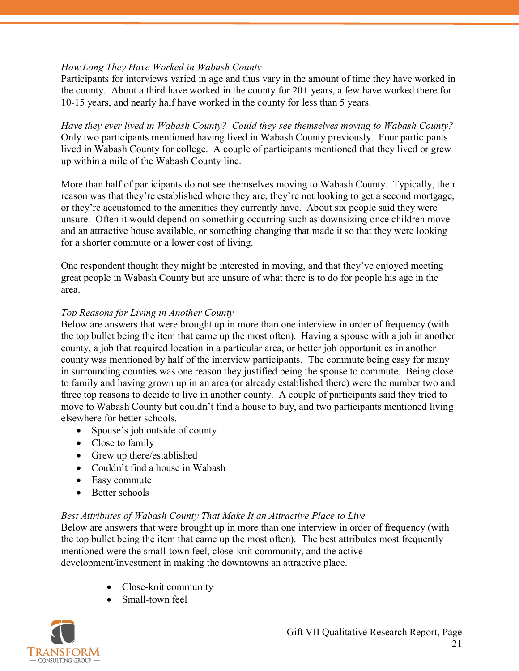# *How Long They Have Worked in Wabash County*

Participants for interviews varied in age and thus vary in the amount of time they have worked in the county. About a third have worked in the county for 20+ years, a few have worked there for 10-15 years, and nearly half have worked in the county for less than 5 years.

*Have they ever lived in Wabash County? Could they see themselves moving to Wabash County?* Only two participants mentioned having lived in Wabash County previously. Four participants lived in Wabash County for college. A couple of participants mentioned that they lived or grew up within a mile of the Wabash County line.

More than half of participants do not see themselves moving to Wabash County. Typically, their reason was that they're established where they are, they're not looking to get a second mortgage, or they're accustomed to the amenities they currently have. About six people said they were unsure. Often it would depend on something occurring such as downsizing once children move and an attractive house available, or something changing that made it so that they were looking for a shorter commute or a lower cost of living.

One respondent thought they might be interested in moving, and that they've enjoyed meeting great people in Wabash County but are unsure of what there is to do for people his age in the area.

### *Top Reasons for Living in Another County*

Below are answers that were brought up in more than one interview in order of frequency (with the top bullet being the item that came up the most often). Having a spouse with a job in another county, a job that required location in a particular area, or better job opportunities in another county was mentioned by half of the interview participants. The commute being easy for many in surrounding counties was one reason they justified being the spouse to commute. Being close to family and having grown up in an area (or already established there) were the number two and three top reasons to decide to live in another county. A couple of participants said they tried to move to Wabash County but couldn't find a house to buy, and two participants mentioned living elsewhere for better schools.

- Spouse's job outside of county
- Close to family
- Grew up there/established
- Couldn't find a house in Wabash
- Easy commute
- Better schools

# *Best Attributes of Wabash County That Make It an Attractive Place to Live*

Below are answers that were brought up in more than one interview in order of frequency (with the top bullet being the item that came up the most often). The best attributes most frequently mentioned were the small-town feel, close-knit community, and the active development/investment in making the downtowns an attractive place.

- Close-knit community
- Small-town feel

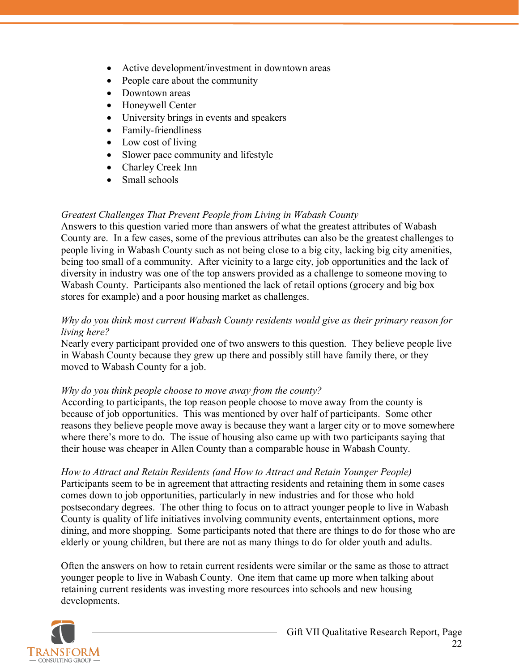- Active development/investment in downtown areas
- People care about the community
- Downtown areas
- Honeywell Center
- University brings in events and speakers
- Family-friendliness
- Low cost of living
- Slower pace community and lifestyle
- Charley Creek Inn
- Small schools

# *Greatest Challenges That Prevent People from Living in Wabash County*

Answers to this question varied more than answers of what the greatest attributes of Wabash County are. In a few cases, some of the previous attributes can also be the greatest challenges to people living in Wabash County such as not being close to a big city, lacking big city amenities, being too small of a community. After vicinity to a large city, job opportunities and the lack of diversity in industry was one of the top answers provided as a challenge to someone moving to Wabash County. Participants also mentioned the lack of retail options (grocery and big box stores for example) and a poor housing market as challenges.

#### *Why do you think most current Wabash County residents would give as their primary reason for living here?*

Nearly every participant provided one of two answers to this question. They believe people live in Wabash County because they grew up there and possibly still have family there, or they moved to Wabash County for a job.

# *Why do you think people choose to move away from the county?*

According to participants, the top reason people choose to move away from the county is because of job opportunities. This was mentioned by over half of participants. Some other reasons they believe people move away is because they want a larger city or to move somewhere where there's more to do. The issue of housing also came up with two participants saying that their house was cheaper in Allen County than a comparable house in Wabash County.

# *How to Attract and Retain Residents (and How to Attract and Retain Younger People)*

Participants seem to be in agreement that attracting residents and retaining them in some cases comes down to job opportunities, particularly in new industries and for those who hold postsecondary degrees. The other thing to focus on to attract younger people to live in Wabash County is quality of life initiatives involving community events, entertainment options, more dining, and more shopping. Some participants noted that there are things to do for those who are elderly or young children, but there are not as many things to do for older youth and adults.

Often the answers on how to retain current residents were similar or the same as those to attract younger people to live in Wabash County. One item that came up more when talking about retaining current residents was investing more resources into schools and new housing developments.

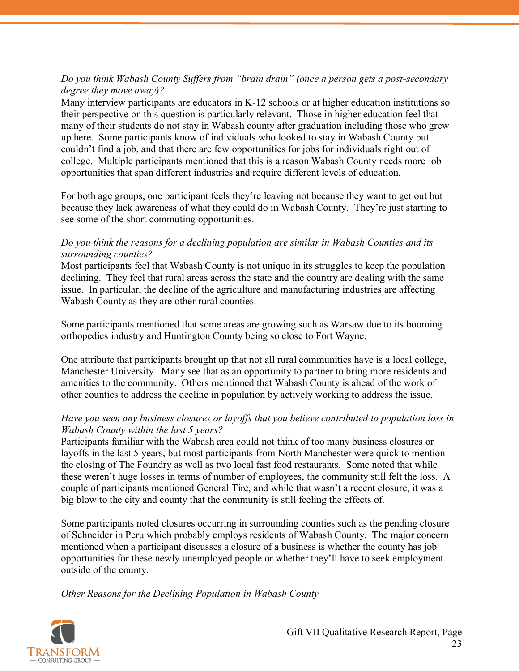### *Do you think Wabash County Suffers from "brain drain" (once a person gets a post-secondary degree they move away)?*

Many interview participants are educators in K-12 schools or at higher education institutions so their perspective on this question is particularly relevant. Those in higher education feel that many of their students do not stay in Wabash county after graduation including those who grew up here. Some participants know of individuals who looked to stay in Wabash County but couldn't find a job, and that there are few opportunities for jobs for individuals right out of college. Multiple participants mentioned that this is a reason Wabash County needs more job opportunities that span different industries and require different levels of education.

For both age groups, one participant feels they're leaving not because they want to get out but because they lack awareness of what they could do in Wabash County. They're just starting to see some of the short commuting opportunities.

#### *Do you think the reasons for a declining population are similar in Wabash Counties and its surrounding counties?*

Most participants feel that Wabash County is not unique in its struggles to keep the population declining. They feel that rural areas across the state and the country are dealing with the same issue. In particular, the decline of the agriculture and manufacturing industries are affecting Wabash County as they are other rural counties.

Some participants mentioned that some areas are growing such as Warsaw due to its booming orthopedics industry and Huntington County being so close to Fort Wayne.

One attribute that participants brought up that not all rural communities have is a local college, Manchester University. Many see that as an opportunity to partner to bring more residents and amenities to the community. Others mentioned that Wabash County is ahead of the work of other counties to address the decline in population by actively working to address the issue.

### *Have you seen any business closures or layoffs that you believe contributed to population loss in Wabash County within the last 5 years?*

Participants familiar with the Wabash area could not think of too many business closures or layoffs in the last 5 years, but most participants from North Manchester were quick to mention the closing of The Foundry as well as two local fast food restaurants. Some noted that while these weren't huge losses in terms of number of employees, the community still felt the loss. A couple of participants mentioned General Tire, and while that wasn't a recent closure, it was a big blow to the city and county that the community is still feeling the effects of.

Some participants noted closures occurring in surrounding counties such as the pending closure of Schneider in Peru which probably employs residents of Wabash County. The major concern mentioned when a participant discusses a closure of a business is whether the county has job opportunities for these newly unemployed people or whether they'll have to seek employment outside of the county.

*Other Reasons for the Declining Population in Wabash County*

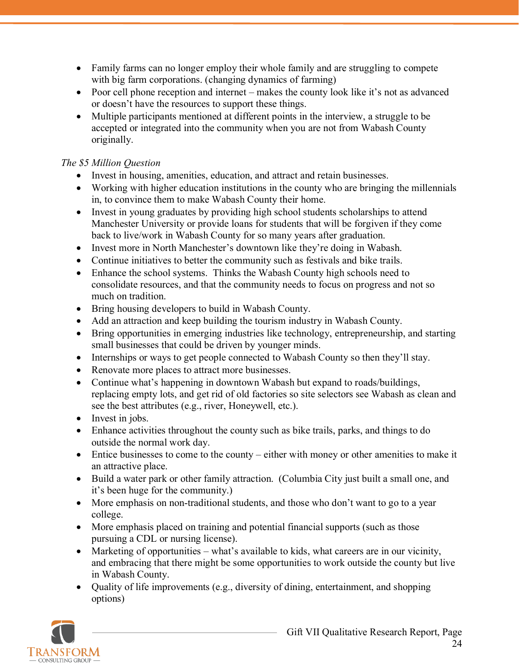- Family farms can no longer employ their whole family and are struggling to compete with big farm corporations. (changing dynamics of farming)
- Poor cell phone reception and internet makes the county look like it's not as advanced or doesn't have the resources to support these things.
- Multiple participants mentioned at different points in the interview, a struggle to be accepted or integrated into the community when you are not from Wabash County originally.

# *The \$5 Million Question*

- Invest in housing, amenities, education, and attract and retain businesses.
- Working with higher education institutions in the county who are bringing the millennials in, to convince them to make Wabash County their home.
- Invest in young graduates by providing high school students scholarships to attend Manchester University or provide loans for students that will be forgiven if they come back to live/work in Wabash County for so many years after graduation.
- Invest more in North Manchester's downtown like they're doing in Wabash.
- Continue initiatives to better the community such as festivals and bike trails.
- Enhance the school systems. Thinks the Wabash County high schools need to consolidate resources, and that the community needs to focus on progress and not so much on tradition.
- Bring housing developers to build in Wabash County.
- Add an attraction and keep building the tourism industry in Wabash County.
- Bring opportunities in emerging industries like technology, entrepreneurship, and starting small businesses that could be driven by younger minds.
- Internships or ways to get people connected to Wabash County so then they'll stay.
- Renovate more places to attract more businesses.
- Continue what's happening in downtown Wabash but expand to roads/buildings, replacing empty lots, and get rid of old factories so site selectors see Wabash as clean and see the best attributes (e.g., river, Honeywell, etc.).
- Invest in jobs.
- Enhance activities throughout the county such as bike trails, parks, and things to do outside the normal work day.
- Entice businesses to come to the county either with money or other amenities to make it an attractive place.
- Build a water park or other family attraction. (Columbia City just built a small one, and it's been huge for the community.)
- More emphasis on non-traditional students, and those who don't want to go to a year college.
- More emphasis placed on training and potential financial supports (such as those pursuing a CDL or nursing license).
- Marketing of opportunities what's available to kids, what careers are in our vicinity, and embracing that there might be some opportunities to work outside the county but live in Wabash County.
- Quality of life improvements (e.g., diversity of dining, entertainment, and shopping options)